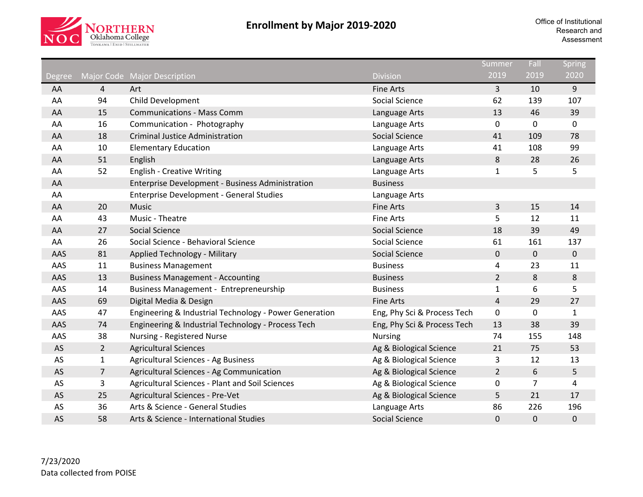

|               |                |                                                        |                             | Summer         | Fall        | Spring       |
|---------------|----------------|--------------------------------------------------------|-----------------------------|----------------|-------------|--------------|
| <b>Degree</b> |                | Major Code Major Description                           | <b>Division</b>             | 2019           | 2019        | 2020         |
| AA            | $\overline{4}$ | Art                                                    | <b>Fine Arts</b>            | $\overline{3}$ | 10          | 9            |
| AA            | 94             | Child Development                                      | Social Science              | 62             | 139         | 107          |
| AA            | 15             | <b>Communications - Mass Comm</b>                      | Language Arts               | 13             | 46          | 39           |
| AA            | 16             | Communication - Photography                            | Language Arts               | $\mathbf 0$    | 0           | $\pmb{0}$    |
| AA            | 18             | <b>Criminal Justice Administration</b>                 | <b>Social Science</b>       | 41             | 109         | 78           |
| AA            | 10             | <b>Elementary Education</b>                            | Language Arts               | 41             | 108         | 99           |
| AA            | 51             | English                                                | Language Arts               | 8              | 28          | 26           |
| AA            | 52             | <b>English - Creative Writing</b>                      | Language Arts               | $\mathbf{1}$   | 5           | 5            |
| AA            |                | Enterprise Development - Business Administration       | <b>Business</b>             |                |             |              |
| AA            |                | <b>Enterprise Development - General Studies</b>        | Language Arts               |                |             |              |
| AA            | 20             | Music                                                  | <b>Fine Arts</b>            | $\overline{3}$ | 15          | 14           |
| AA            | 43             | Music - Theatre                                        | <b>Fine Arts</b>            | 5              | 12          | 11           |
| AA            | 27             | Social Science                                         | <b>Social Science</b>       | 18             | 39          | 49           |
| AA            | 26             | Social Science - Behavioral Science                    | Social Science              | 61             | 161         | 137          |
| AAS           | 81             | <b>Applied Technology - Military</b>                   | Social Science              | $\mathbf 0$    | $\mathbf 0$ | 0            |
| AAS           | 11             | <b>Business Management</b>                             | <b>Business</b>             | 4              | 23          | 11           |
| AAS           | 13             | <b>Business Management - Accounting</b>                | <b>Business</b>             | $\overline{2}$ | 8           | $\bf 8$      |
| AAS           | 14             | <b>Business Management - Entrepreneurship</b>          | <b>Business</b>             | $\mathbf{1}$   | 6           | 5            |
| AAS           | 69             | Digital Media & Design                                 | <b>Fine Arts</b>            | $\overline{4}$ | 29          | 27           |
| AAS           | 47             | Engineering & Industrial Technology - Power Generation | Eng, Phy Sci & Process Tech | $\mathbf 0$    | 0           | $\mathbf{1}$ |
| AAS           | 74             | Engineering & Industrial Technology - Process Tech     | Eng, Phy Sci & Process Tech | 13             | 38          | 39           |
| AAS           | 38             | Nursing - Registered Nurse                             | <b>Nursing</b>              | 74             | 155         | 148          |
| AS            | $\overline{2}$ | <b>Agricultural Sciences</b>                           | Ag & Biological Science     | 21             | 75          | 53           |
| AS            | $\mathbf{1}$   | Agricultural Sciences - Ag Business                    | Ag & Biological Science     | 3              | 12          | 13           |
| AS            | $\overline{7}$ | Agricultural Sciences - Ag Communication               | Ag & Biological Science     | $\overline{2}$ | 6           | 5            |
| AS            | 3              | Agricultural Sciences - Plant and Soil Sciences        | Ag & Biological Science     | $\mathbf 0$    | 7           | 4            |
| AS            | 25             | Agricultural Sciences - Pre-Vet                        | Ag & Biological Science     | 5              | 21          | 17           |
| AS            | 36             | Arts & Science - General Studies                       | Language Arts               | 86             | 226         | 196          |
| AS            | 58             | Arts & Science - International Studies                 | Social Science              | $\mathbf 0$    | $\mathbf 0$ | 0            |